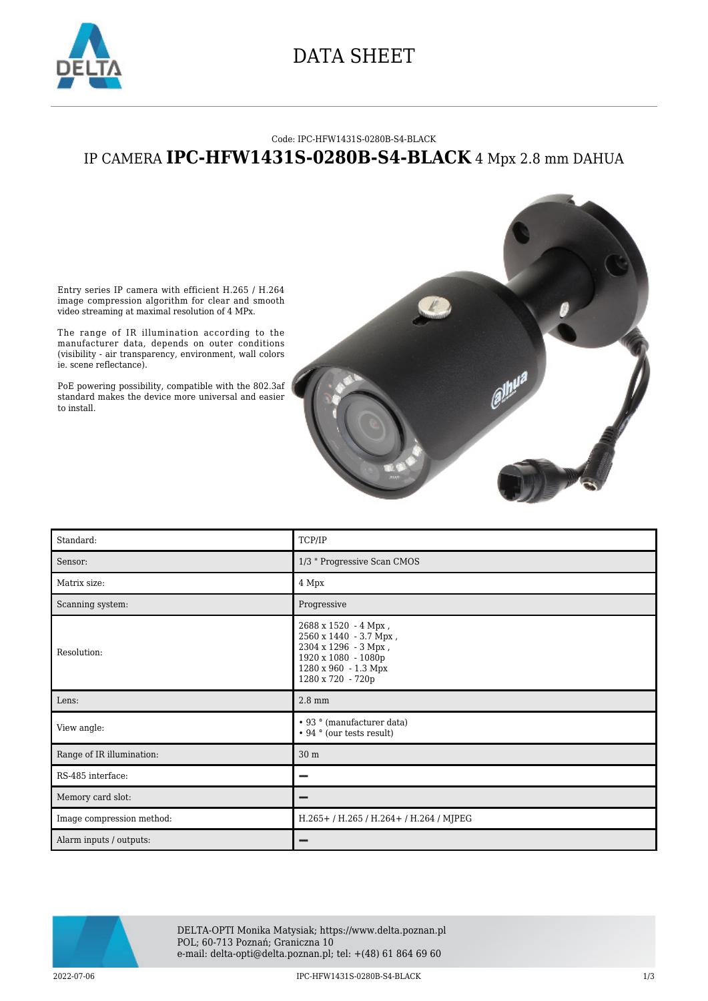

### DATA SHEET

#### Code: IPC-HFW1431S-0280B-S4-BLACK

### IP CAMERA **IPC-HFW1431S-0280B-S4-BLACK** 4 Mpx 2.8 mm DAHUA

Entry series IP camera with efficient H.265 / H.264 image compression algorithm for clear and smooth video streaming at maximal resolution of 4 MPx.

The range of IR illumination according to the manufacturer data, depends on outer conditions (visibility - air transparency, environment, wall colors ie. scene reflectance).

PoE powering possibility, compatible with the 802.3af standard makes the device more universal and easier to install.



| Standard:                 | TCP/IP                                                                                                                                     |
|---------------------------|--------------------------------------------------------------------------------------------------------------------------------------------|
| Sensor:                   | 1/3 " Progressive Scan CMOS                                                                                                                |
| Matrix size:              | 4 Mpx                                                                                                                                      |
| Scanning system:          | Progressive                                                                                                                                |
| Resolution:               | 2688 x 1520 - 4 Mpx,<br>2560 x 1440 - 3.7 Mpx,<br>2304 x 1296 - 3 Mpx,<br>1920 x 1080 - 1080p<br>1280 x 960 - 1.3 Mpx<br>1280 x 720 - 720p |
|                           |                                                                                                                                            |
| Lens:                     | $2.8 \text{ mm}$                                                                                                                           |
| View angle:               | • 93 ° (manufacturer data)<br>• 94 ° (our tests result)                                                                                    |
| Range of IR illumination: | 30 m                                                                                                                                       |
| RS-485 interface:         | -                                                                                                                                          |
| Memory card slot:         | -                                                                                                                                          |
| Image compression method: | H.265+/H.265/H.264+/H.264/MJPEG                                                                                                            |

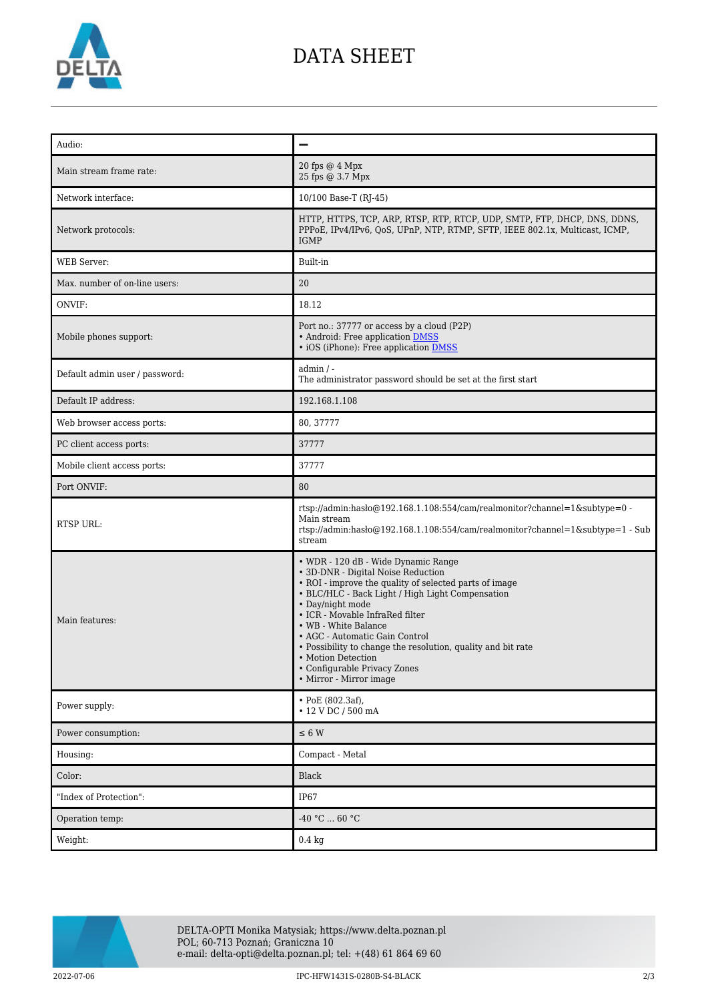

## DATA SHEET

| Audio:                         |                                                                                                                                                                                                                                                                                                                                                                                                                                                           |
|--------------------------------|-----------------------------------------------------------------------------------------------------------------------------------------------------------------------------------------------------------------------------------------------------------------------------------------------------------------------------------------------------------------------------------------------------------------------------------------------------------|
| Main stream frame rate:        | 20 fps $@$ 4 Mpx<br>25 fps @ 3.7 Mpx                                                                                                                                                                                                                                                                                                                                                                                                                      |
| Network interface:             | 10/100 Base-T (RJ-45)                                                                                                                                                                                                                                                                                                                                                                                                                                     |
| Network protocols:             | HTTP, HTTPS, TCP, ARP, RTSP, RTP, RTCP, UDP, SMTP, FTP, DHCP, DNS, DDNS,<br>PPPoE, IPv4/IPv6, QoS, UPnP, NTP, RTMP, SFTP, IEEE 802.1x, Multicast, ICMP,<br><b>IGMP</b>                                                                                                                                                                                                                                                                                    |
| <b>WEB</b> Server:             | Built-in                                                                                                                                                                                                                                                                                                                                                                                                                                                  |
| Max. number of on-line users:  | 20                                                                                                                                                                                                                                                                                                                                                                                                                                                        |
| ONVIF:                         | 18.12                                                                                                                                                                                                                                                                                                                                                                                                                                                     |
| Mobile phones support:         | Port no.: 37777 or access by a cloud (P2P)<br>• Android: Free application DMSS<br>• iOS (iPhone): Free application <b>DMSS</b>                                                                                                                                                                                                                                                                                                                            |
| Default admin user / password: | admin / -<br>The administrator password should be set at the first start                                                                                                                                                                                                                                                                                                                                                                                  |
| Default IP address:            | 192.168.1.108                                                                                                                                                                                                                                                                                                                                                                                                                                             |
| Web browser access ports:      | 80, 37777                                                                                                                                                                                                                                                                                                                                                                                                                                                 |
| PC client access ports:        | 37777                                                                                                                                                                                                                                                                                                                                                                                                                                                     |
| Mobile client access ports:    | 37777                                                                                                                                                                                                                                                                                                                                                                                                                                                     |
| Port ONVIF:                    | 80                                                                                                                                                                                                                                                                                                                                                                                                                                                        |
| <b>RTSP URL:</b>               | rtsp://admin:hasło@192.168.1.108:554/cam/realmonitor?channel=1&subtype=0 -<br>Main stream<br>rtsp://admin.hasho@192.168.1.108:554/cam/realmonitor?channel=1&subtype=1 - Sub<br>stream                                                                                                                                                                                                                                                                     |
| Main features:                 | • WDR - 120 dB - Wide Dynamic Range<br>• 3D-DNR - Digital Noise Reduction<br>• ROI - improve the quality of selected parts of image<br>• BLC/HLC - Back Light / High Light Compensation<br>• Day/night mode<br>• ICR - Movable InfraRed filter<br>• WB - White Balance<br>• AGC - Automatic Gain Control<br>• Possibility to change the resolution, quality and bit rate<br>- Motion Detection<br>• Configurable Privacy Zones<br>• Mirror - Mirror image |
| Power supply:                  | • PoE (802.3af),<br>$\cdot$ 12 V DC / 500 mA                                                                                                                                                                                                                                                                                                                                                                                                              |
| Power consumption:             | $\leq$ 6 W                                                                                                                                                                                                                                                                                                                                                                                                                                                |
| Housing:                       | Compact - Metal                                                                                                                                                                                                                                                                                                                                                                                                                                           |
| Color:                         | Black                                                                                                                                                                                                                                                                                                                                                                                                                                                     |
| "Index of Protection":         | <b>IP67</b>                                                                                                                                                                                                                                                                                                                                                                                                                                               |
| Operation temp:                | -40 °C $\ldots$ 60 °C                                                                                                                                                                                                                                                                                                                                                                                                                                     |
| Weight:                        | $0.4\ \mathrm{kg}$                                                                                                                                                                                                                                                                                                                                                                                                                                        |